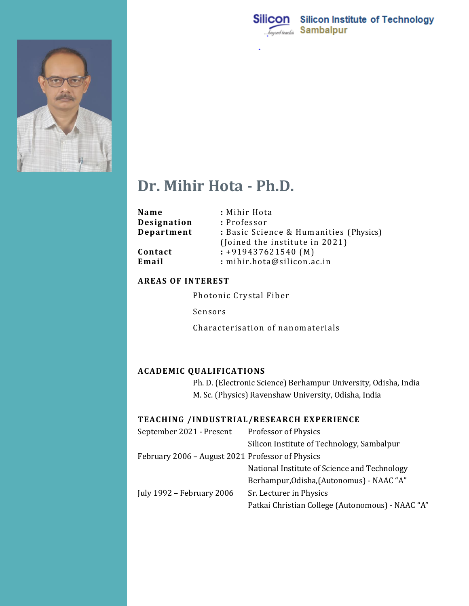



# **Dr. Mihir Hota - Ph.D.**

| Name        | : Mihir Hota                           |
|-------------|----------------------------------------|
| Designation | : Professor                            |
| Department  | : Basic Science & Humanities (Physics) |
|             | (Joined the institute in 2021)         |
| Contact     | $: +919437621540$ (M)                  |
| Email       | : mihir.hota@silicon.ac.in             |
|             |                                        |

#### **AREAS OF INTEREST**

Photonic Crystal Fiber

Sensors

Characterisation of nanomaterials

## **ACADEMIC QUALIFICATIONS**

Ph. D. (Electronic Science) Berhampur University, Odisha, India M. Sc. (Physics) Ravenshaw University, Odisha, India

## **TEACHING /INDUSTRIAL/RESEARCH EXPERIENCE**

| September 2021 - Present                         | Professor of Physics                             |
|--------------------------------------------------|--------------------------------------------------|
|                                                  | Silicon Institute of Technology, Sambalpur       |
| February 2006 - August 2021 Professor of Physics |                                                  |
|                                                  | National Institute of Science and Technology     |
|                                                  | Berhampur, Odisha, (Autonomus) - NAAC "A"        |
| July 1992 - February 2006                        | Sr. Lecturer in Physics                          |
|                                                  | Patkai Christian College (Autonomous) - NAAC "A" |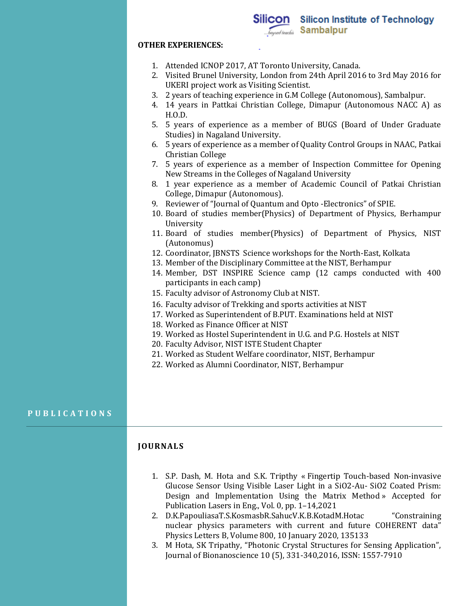#### **OTHER EXPERIENCES:**

- 1. Attended ICNOP 2017, AT Toronto University, Canada.
- 2. Visited Brunel University, London from 24th April 2016 to 3rd May 2016 for UKERI project work as Visiting Scientist.
- 3. 2 years of teaching experience in G.M College (Autonomous), Sambalpur.
- 4. 14 years in Pattkai Christian College, Dimapur (Autonomous NACC A) as H.O.D.
- 5. 5 years of experience as a member of BUGS (Board of Under Graduate Studies) in Nagaland University.
- 6. 5 years of experience as a member of Quality Control Groups in NAAC, Patkai Christian College
- 7. 5 years of experience as a member of Inspection Committee for Opening New Streams in the Colleges of Nagaland University
- 8. 1 year experience as a member of Academic Council of Patkai Christian College, Dimapur (Autonomous).
- 9. Reviewer of "Journal of Quantum and Opto -Electronics" of SPIE.
- 10. Board of studies member(Physics) of Department of Physics, Berhampur University
- 11. Board of studies member(Physics) of Department of Physics, NIST (Autonomus)
- 12. Coordinator, JBNSTS Science workshops for the North-East, Kolkata
- 13. Member of the Disciplinary Committee at the NIST, Berhampur
- 14. Member, DST INSPIRE Science camp (12 camps conducted with 400 participants in each camp)
- 15. Faculty advisor of Astronomy Club at NIST.
- 16. Faculty advisor of Trekking and sports activities at NIST
- 17. Worked as Superintendent of B.PUT. Examinations held at NIST
- 18. Worked as Finance Officer at NIST
- 19. Worked as Hostel Superintendent in U.G. and P.G. Hostels at NIST
- 20. Faculty Advisor, NIST ISTE Student Chapter
- 21. Worked as Student Welfare coordinator, NIST, Berhampur
- 22. Worked as Alumni Coordinator, NIST, Berhampur

#### **P U B L I C A T I O N S P U B L I C A T I O N S**

#### **JOURNALS**

- 1. S.P. Dash, M. Hota and S.K. Tripthy « Fingertip Touch-based Non-invasive Glucose Sensor Using Visible Laser Light in a SiO2-Au- SiO2 Coated Prism: Design and Implementation Using the Matrix Method » Accepted for Publication Lasers in Eng., Vol. 0, pp. 1–14,2021
- 2. [D.K.PapouliasaT.S.KosmasbR.SahucV.K.B.KotadM.Hotac](https://www.sciencedirect.com/science/article/pii/S037026931930855X?via%3Dihub#!) "Constraining nuclear physics parameters with current and future COHERENT data" [Physics Letters B,](https://www.sciencedirect.com/science/journal/03702693) [Volume 800,](https://www.sciencedirect.com/science/journal/03702693/800/supp/C) 10 January 2020, 135133
- 3. M Hota, SK Tripathy, "Photonic Crystal Structures for Sensing Application", Journal of Bionanoscience 10 (5), 331-340,2016, ISSN: 1557-7910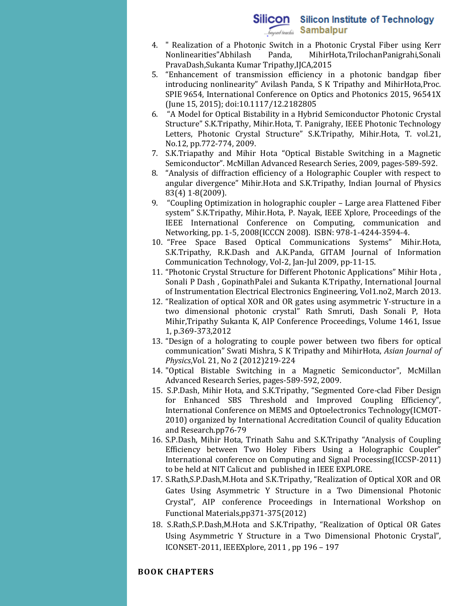## Silicon Silicon Institute of Technology *General Inacchia* Sambalpur

- 4. " Realization of a Photonic Switch in a Photonic Crystal Fiber using Kerr Nonlinearities"Abhilash Panda, MihirHota,TrilochanPanigrahi,Sonali PravaDash,Sukanta Kumar Tripathy,IJCA,2015
- 5. "Enhancement of transmission efficiency in a photonic bandgap fiber introducing nonlinearity" Avilash Panda, S K Tripathy and MihirHota,Proc. SPIE 9654, International Conference on Optics and Photonics 2015, 96541X (June 15, 2015); doi:10.1117/12.2182805
- 6. "A Model for Optical Bistability in a Hybrid Semiconductor Photonic Crystal Structure" S.K.Tripathy, Mihir.Hota, T. Panigrahy, IEEE Photonic Technology Letters, Photonic Crystal Structure" S.K.Tripathy, Mihir.Hota, T. vol.21, No.12, pp.772-774, 2009.
- 7. S.K.Triapathy and Mihir Hota "Optical Bistable Switching in a Magnetic Semiconductor". McMillan Advanced Research Series, 2009, pages-589-592.
- 8. "Analysis of diffraction efficiency of a Holographic Coupler with respect to angular divergence" Mihir.Hota and S.K.Tripathy, Indian Journal of Physics 83(4) 1-8(2009).
- 9. "Coupling Optimization in holographic coupler Large area Flattened Fiber system" S.K.Tripathy, Mihir.Hota, P. Nayak, IEEE Xplore, Proceedings of the IEEE International Conference on Computing, communication and Networking, pp. 1-5, 2008(ICCCN 2008). ISBN: 978-1-4244-3594-4.
- 10. "Free Space Based Optical Communications Systems" Mihir.Hota, S.K.Tripathy, R.K.Dash and A.K.Panda, GITAM Journal of Information Communication Technology, Vol-2, Jan-Jul 2009, pp-11-15.
- 11. "Photonic Crystal Structure for Different Photonic Applications" Mihir Hota , Sonali P Dash , GopinathPalei and Sukanta K.Tripathy, International Journal of Instrumentation Electrical Electronics Engineering, Vol1.no2, March 2013.
- 12. "Realization of optical XOR and OR gates using asymmetric Y-structure in a two dimensional photonic crystal" Rath Smruti, Dash Sonali P, Hota Mihir,Tripathy Sukanta K, AIP Conference Proceedings, Volume 1461, Issue 1, p.369-373,2012
- 13. "Design of a holograting to couple power between two fibers for optical communication" Swati Mishra, S K Tripathy and MihirHota, *Asian Journal of Physics*,Vol. 21, No 2 (2012)219-224
- 14. "Optical Bistable Switching in a Magnetic Semiconductor", McMillan Advanced Research Series, pages-589-592, 2009.
- 15. S.P.Dash, Mihir Hota, and S.K.Tripathy, "Segmented Core-clad Fiber Design for Enhanced SBS Threshold and Improved Coupling Efficiency", International Conference on MEMS and Optoelectronics Technology(ICMOT-2010) organized by International Accreditation Council of quality Education and Research.pp76-79
- 16. S.P.Dash, Mihir Hota, Trinath Sahu and S.K.Tripathy "Analysis of Coupling Efficiency between Two Holey Fibers Using a Holographic Coupler" International conference on Computing and Signal Processing(ICCSP-2011) to be held at NIT Calicut and published in IEEE EXPLORE.
- 17. S.Rath,S.P.Dash,M.Hota and S.K.Tripathy, "Realization of Optical XOR and OR Gates Using Asymmetric Y Structure in a Two Dimensional Photonic Crystal", AIP conference Proceedings in International Workshop on Functional Materials,pp371-375(2012)
- 18. S.Rath,S.P.Dash,M.Hota and S.K.Tripathy, "Realization of Optical OR Gates Using Asymmetric Y Structure in a Two Dimensional Photonic Crystal", ICONSET-2011, IEEEXplore, 2011 , pp 196 – 197

### **BOOK CHAPTERS**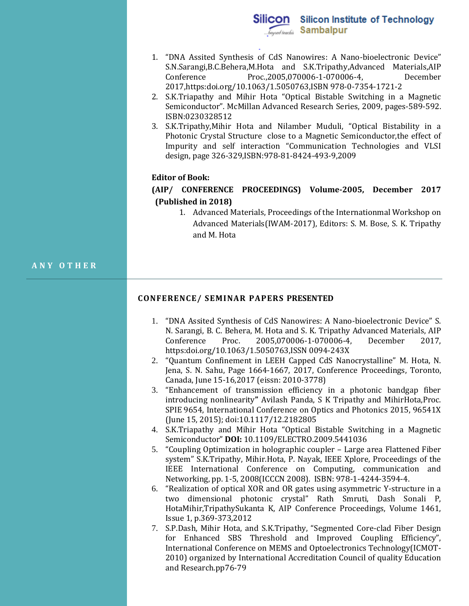- 1. "DNA Assited Synthesis of CdS Nanowires: A Nano-bioelectronic Device" S.N.Sarangi,B.C.Behera,M.Hota and S.K.Tripathy,Advanced Materials,AIP Conference Proc.,2005,070006-1-070006-4, December 2017,https:doi.org/10.1063/1.5050763,ISBN 978-0-7354-1721-2
- 2. S.K.Triapathy and Mihir Hota "Optical Bistable Switching in a Magnetic Semiconductor". McMillan Advanced Research Series, 2009, pages-589-592. ISBN:0230328512
- 3. S.K.Tripathy,Mihir Hota and Nilamber Muduli, "Optical Bistability in a Photonic Crystal Structure close to a Magnetic Semiconductor,the effect of Impurity and self interaction "Communication Technologies and VLSI design, page 326-329,ISBN:978-81-8424-493-9,2009

#### **Editor of Book:**

## **(AIP/ CONFERENCE PROCEEDINGS) Volume-2005, December 2017 (Published in 2018)**

1. Advanced Materials, Proceedings of the Internationmal Workshop on Advanced Materials(IWAM-2017), Editors: S. M. Bose, S. K. Tripathy and M. Hota

#### **A N Y O T H E R**

#### **CONFERENCE/ SEMINAR PAPERS PRESENTED**

- 1. "DNA Assited Synthesis of CdS Nanowires: A Nano-bioelectronic Device" S. N. Sarangi, B. C. Behera, M. Hota and S. K. Tripathy Advanced Materials, AIP Conference Proc. 2005,070006-1-070006-4, December 2017, https:doi.org/10.1063/1.5050763,ISSN 0094-243X
- 2. "Quantum Confinement in LEEH Capped CdS Nanocrystalline" M. Hota, N. Jena, S. N. Sahu, Page 1664-1667, 2017, Conference Proceedings, Toronto, Canada, June 15-16,2017 (eissn: 2010-3778)
- 3. "Enhancement of transmission efficiency in a photonic bandgap fiber introducing nonlinearity**"** Avilash Panda, S K Tripathy and MihirHota,Proc. SPIE 9654, International Conference on Optics and Photonics 2015, 96541X (June 15, 2015); doi:10.1117/12.2182805
- 4. S.K.Triapathy and Mihir Hota "Optical Bistable Switching in a Magnetic Semiconductor" **DOI:** [10.1109/ELECTRO.2009.5441036](https://doi.org/10.1109/ELECTRO.2009.5441036)
- 5. "Coupling Optimization in holographic coupler Large area Flattened Fiber system" S.K.Tripathy, Mihir.Hota, P. Nayak, IEEE Xplore, Proceedings of the IEEE International Conference on Computing, communication and Networking, pp. 1-5, 2008(ICCCN 2008). ISBN: 978-1-4244-3594-4.
- 6. "Realization of optical XOR and OR gates using asymmetric Y-structure in a two dimensional photonic crystal" Rath Smruti, Dash Sonali P, HotaMihir,TripathySukanta K, AIP Conference Proceedings, Volume 1461, Issue 1, p.369-373,2012
- 7. S.P.Dash, Mihir Hota, and S.K.Tripathy, "Segmented Core-clad Fiber Design for Enhanced SBS Threshold and Improved Coupling Efficiency", International Conference on MEMS and Optoelectronics Technology(ICMOT-2010) organized by International Accreditation Council of quality Education and Research.pp76-79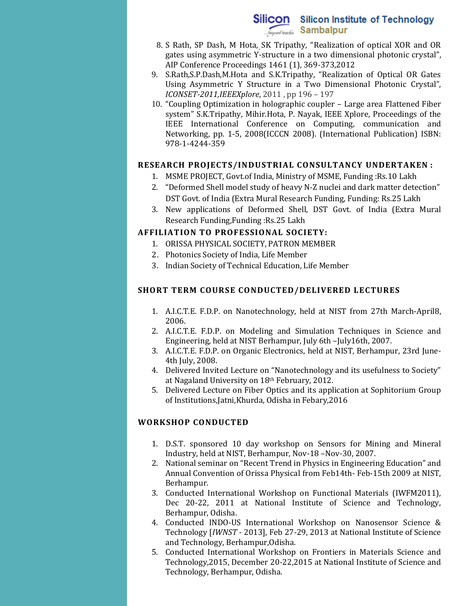# Silicon Silicon Institute of Technology **Sambalpur**

- 8. S Rath, SP Dash, M Hota, SK Tripathy, "[Realization of optical XOR and OR](javascript:void(0))  [gates using asymmetric Y-structure in a two dimensional photonic crystal](javascript:void(0))", AIP Conference Proceedings 1461 (1), 369-373,2012
- 9. S.Rath,S.P.Dash,M.Hota and S.K.Tripathy, "Realization of Optical OR Gates Using Asymmetric Y Structure in a Two Dimensional Photonic Crystal", *ICONSET-2011,IEEEXplore*, 2011 , pp 196 – 197
- 10. "Coupling Optimization in holographic coupler Large area Flattened Fiber system" S.K.Tripathy, Mihir.Hota, P. Nayak, IEEE Xplore, Proceedings of the IEEE International Conference on Computing, communication and Networking, pp. 1-5, 2008(ICCCN 2008). (International Publication) ISBN: 978-1-4244-359

#### **RESEARCH PROJECTS/INDUSTRIAL CONSULTANCY UNDERTAKEN :**

- 1. MSME PROJECT, Govt.of India, Ministry of MSME, Funding :Rs.10 Lakh
- 2. "Deformed Shell model study of heavy N-Z nuclei and dark matter detection" DST Govt. of India (Extra Mural Research Funding, Funding: Rs.25 Lakh
- 3. New applications of Deformed Shell, DST Govt. of India (Extra Mural Research Funding,Funding :Rs.25 Lakh

### **AFFILIATION TO PROFESSIONAL SOCIETY:**

- 1. ORISSA PHYSICAL SOCIETY, PATRON MEMBER
- 2. Photonics Society of India, Life Member
- 3. Indian Society of Technical Education, Life Member

#### **SHORT TERM COURSE CONDUCTED/DELIVERED LECTURES**

- 1. A.I.C.T.E. F.D.P. on Nanotechnology, held at NIST from 27th March-April8, 2006.
- 2. A.I.C.T.E. F.D.P. on Modeling and Simulation Techniques in Science and Engineering, held at NIST Berhampur, July 6th –July16th, 2007.
- 3. A.I.C.T.E. F.D.P. on Organic Electronics, held at NIST, Berhampur, 23rd June-4th July, 2008.
- 4. Delivered Invited Lecture on "Nanotechnology and its usefulness to Society" at Nagaland University on 18th February, 2012.
- 5. Delivered Lecture on Fiber Optics and its application at Sophitorium Group of Institutions,Jatni,Khurda, Odisha in Febary,2016

### **WORKSHOP CONDUCTED**

- 1. D.S.T. sponsored 10 day workshop on Sensors for Mining and Mineral Industry, held at NIST, Berhampur, Nov-18 –Nov-30, 2007.
- 2. National seminar on "Recent Trend in Physics in Engineering Education" and Annual Convention of Orissa Physical from Feb14th- Feb-15th 2009 at NIST, Berhampur.
- 3. Conducted International Workshop on Functional Materials (IWFM2011), Dec 20-22, 2011 at National Institute of Science and Technology, Berhampur, Odisha.
- 4. Conducted INDO-US International Workshop on Nanosensor Science & Technology [*IWNST* - 2013], Feb 27-29, 2013 at National Institute of Science and Technology, Berhampur,Odisha.
- 5. Conducted International Workshop on Frontiers in Materials Science and Technology,2015, December 20-22,2015 at National Institute of Science and Technology, Berhampur, Odisha.